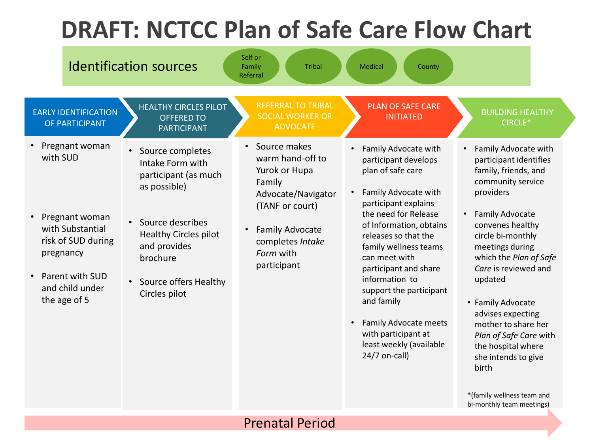## **DRAFT: NCTCC Plan of Safe Care Flow Chart**



### Prenatal Period